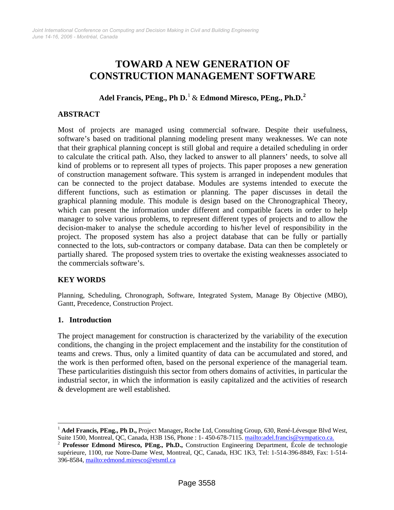# **TOWARD A NEW GENERATION OF CONSTRUCTION MANAGEMENT SOFTWARE**

## **Adel Francis, PEng., Ph D.**[1](#page-0-0) & **Edmond Miresco, PEng., Ph.D.[2](#page-0-1)**

#### **ABSTRACT**

Most of projects are managed using commercial software. Despite their usefulness, software's based on traditional planning modeling present many weaknesses. We can note that their graphical planning concept is still global and require a detailed scheduling in order to calculate the critical path. Also, they lacked to answer to all planners' needs, to solve all kind of problems or to represent all types of projects. This paper proposes a new generation of construction management software. This system is arranged in independent modules that can be connected to the project database. Modules are systems intended to execute the different functions, such as estimation or planning. The paper discusses in detail the graphical planning module. This module is design based on the Chronographical Theory, which can present the information under different and compatible facets in order to help manager to solve various problems, to represent different types of projects and to allow the decision-maker to analyse the schedule according to his/her level of responsibility in the project. The proposed system has also a project database that can be fully or partially connected to the lots, sub-contractors or company database. Data can then be completely or partially shared. The proposed system tries to overtake the existing weaknesses associated to the commercials software's.

## **KEY WORDS**

Planning, Scheduling, Chronograph, Software, Integrated System, Manage By Objective (MBO), Gantt, Precedence, Construction Project.

#### **1. Introduction**

 $\overline{a}$ 

The project management for construction is characterized by the variability of the execution conditions, the changing in the project emplacement and the instability for the constitution of teams and crews. Thus, only a limited quantity of data can be accumulated and stored, and the work is then performed often, based on the personal experience of the managerial team. These particularities distinguish this sector from others domains of activities, in particular the industrial sector, in which the information is easily capitalized and the activities of research & development are well established.

<span id="page-0-0"></span><sup>&</sup>lt;sup>1</sup> Adel Francis, PEng., Ph D., Project Manager, Roche Ltd, Consulting Group, 630, René-Lévesque Blvd West, Suite 1500, Montreal, QC, Canada, H3B 1S6, Phone : 1-450-678-7115. mailto:adel.francis@sympatico.ca.

<span id="page-0-1"></span><sup>&</sup>lt;sup>2</sup> Professor Edmond Miresco, PEng., Ph.D., Construction Engineering Department, École de technologie supérieure, 1100, rue Notre-Dame West, Montreal, QC, Canada, H3C 1K3, Tel: 1-514-396-8849, Fax: 1-514- 396-8584,<mailto:edmond.miresco@etsmtl.ca>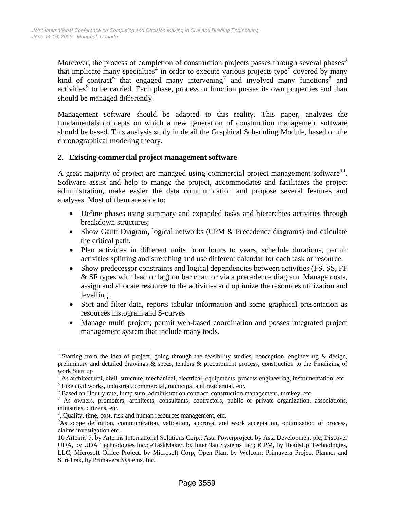Moreover, the process of completion of construction projects passes through several phases<sup>[3](#page-1-0)</sup> that implicate many specialties<sup>[4](#page-1-1)</sup> in order to execute various projects type<sup>[5](#page-1-2)</sup> covered by many kind of contract<sup>[6](#page-1-3)</sup> that engaged many intervening<sup>[7](#page-1-4)</sup> and involved many functions<sup>[8](#page-1-5)</sup> and activities<sup>[9](#page-1-6)</sup> to be carried. Each phase, process or function posses its own properties and than should be managed differently.

Management software should be adapted to this reality. This paper, analyzes the fundamentals concepts on which a new generation of construction management software should be based. This analysis study in detail the Graphical Scheduling Module, based on the chronographical modeling theory.

## **2. Existing commercial project management software**

A great majority of project are managed using commercial project management software<sup>[10](#page-1-7)</sup>. Software assist and help to mange the project, accommodates and facilitates the project administration, make easier the data communication and propose several features and analyses. Most of them are able to:

- Define phases using summary and expanded tasks and hierarchies activities through breakdown structures;
- Show Gantt Diagram, logical networks (CPM & Precedence diagrams) and calculate the critical path.
- Plan activities in different units from hours to years, schedule durations, permit activities splitting and stretching and use different calendar for each task or resource.
- Show predecessor constraints and logical dependencies between activities (FS, SS, FF & SF types with lead or lag) on bar chart or via a precedence diagram. Manage costs, assign and allocate resource to the activities and optimize the resources utilization and levelling.
- Sort and filter data, reports tabular information and some graphical presentation as resources histogram and S-curves
- Manage multi project; permit web-based coordination and posses integrated project management system that include many tools.

<span id="page-1-0"></span> $\overline{a}$ <sup>3</sup> Starting from the idea of project, going through the feasibility studies, conception, engineering & design, preliminary and detailed drawings & specs, tenders & procurement process, construction to the Finalizing of work Start up

 $^{4}$  As architectural, civil, structure, mechanical, electrical, equipments, process engineering, instrumentation, etc.  $^{5}$  Like eivil works, industrial, commercial, municipal and recidential, etc.

<span id="page-1-3"></span><span id="page-1-2"></span><span id="page-1-1"></span> $<sup>5</sup>$  Like civil works, industrial, commercial, municipal and residential, etc.</sup>

<sup>&</sup>lt;sup>6</sup> Based on Hourly rate, lump sum, administration contract, construction management, turnkey, etc.

<span id="page-1-4"></span><sup>&</sup>lt;sup>7</sup> As owners, promoters, architects, consultants, contractors, public or private organization, associations, ministries, citizens, etc.

<sup>&</sup>lt;sup>8</sup>, Quality, time, cost, risk and human resources management, etc.

<span id="page-1-6"></span><span id="page-1-5"></span><sup>&</sup>lt;sup>9</sup>As scope definition, communication, validation, approval and work acceptation, optimization of process, claims investigation etc.

<span id="page-1-7"></span><sup>10</sup> Artemis 7, by Artemis International Solutions Corp.; Asta Powerproject, by Asta Development plc; Discover UDA, by UDA Technologies Inc.; eTaskMaker, by InterPlan Systems Inc.; iCPM, by HeadsUp Technologies, LLC; Microsoft Office Project, by Microsoft Corp; Open Plan, by Welcom; Primavera Project Planner and SureTrak, by Primavera Systems, Inc.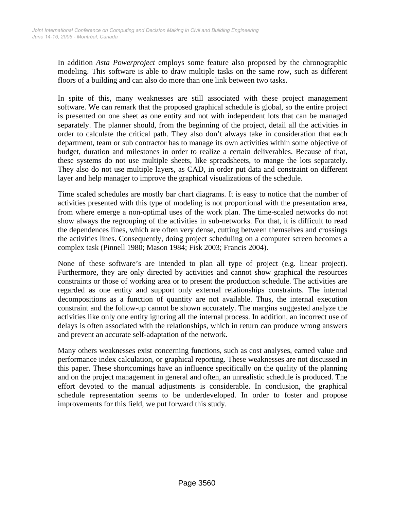In addition *Asta Powerproject* employs some feature also proposed by the chronographic modeling. This software is able to draw multiple tasks on the same row, such as different floors of a building and can also do more than one link between two tasks.

In spite of this, many weaknesses are still associated with these project management software. We can remark that the proposed graphical schedule is global, so the entire project is presented on one sheet as one entity and not with independent lots that can be managed separately. The planner should, from the beginning of the project, detail all the activities in order to calculate the critical path. They also don't always take in consideration that each department, team or sub contractor has to manage its own activities within some objective of budget, duration and milestones in order to realize a certain deliverables. Because of that, these systems do not use multiple sheets, like spreadsheets, to mange the lots separately. They also do not use multiple layers, as CAD, in order put data and constraint on different layer and help manager to improve the graphical visualizations of the schedule.

Time scaled schedules are mostly bar chart diagrams. It is easy to notice that the number of activities presented with this type of modeling is not proportional with the presentation area, from where emerge a non-optimal uses of the work plan. The time-scaled networks do not show always the regrouping of the activities in sub-networks. For that, it is difficult to read the dependences lines, which are often very dense, cutting between themselves and crossings the activities lines. Consequently, doing project scheduling on a computer screen becomes a complex task (Pinnell 1980; Mason 1984; Fisk 2003; Francis 2004).

None of these software's are intended to plan all type of project (e.g. linear project). Furthermore, they are only directed by activities and cannot show graphical the resources constraints or those of working area or to present the production schedule. The activities are regarded as one entity and support only external relationships constraints. The internal decompositions as a function of quantity are not available. Thus, the internal execution constraint and the follow-up cannot be shown accurately. The margins suggested analyze the activities like only one entity ignoring all the internal process. In addition, an incorrect use of delays is often associated with the relationships, which in return can produce wrong answers and prevent an accurate self-adaptation of the network.

Many others weaknesses exist concerning functions, such as cost analyses, earned value and performance index calculation, or graphical reporting. These weaknesses are not discussed in this paper. These shortcomings have an influence specifically on the quality of the planning and on the project management in general and often, an unrealistic schedule is produced. The effort devoted to the manual adjustments is considerable. In conclusion, the graphical schedule representation seems to be underdeveloped. In order to foster and propose improvements for this field, we put forward this study.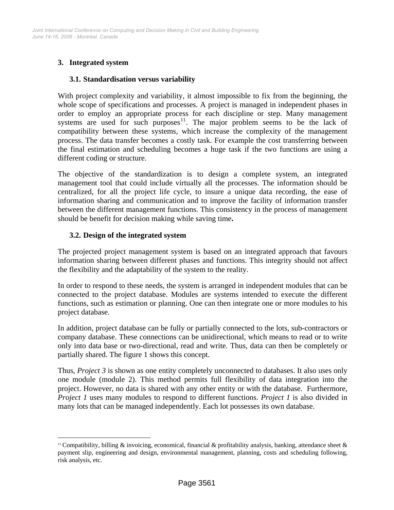## **3. Integrated system**

 $\overline{a}$ 

#### **3.1. Standardisation versus variability**

With project complexity and variability, it almost impossible to fix from the beginning, the whole scope of specifications and processes. A project is managed in independent phases in order to employ an appropriate process for each discipline or step. Many management systems are used for such purposes $11$ . The major problem seems to be the lack of compatibility between these systems, which increase the complexity of the management process. The data transfer becomes a costly task. For example the cost transferring between the final estimation and scheduling becomes a huge task if the two functions are using a different coding or structure.

The objective of the standardization is to design a complete system, an integrated management tool that could include virtually all the processes. The information should be centralized, for all the project life cycle, to insure a unique data recording, the ease of information sharing and communication and to improve the facility of information transfer between the different management functions. This consistency in the process of management should be benefit for decision making while saving time**.** 

#### **3.2. Design of the integrated system**

The projected project management system is based on an integrated approach that favours information sharing between different phases and functions. This integrity should not affect the flexibility and the adaptability of the system to the reality.

In order to respond to these needs, the system is arranged in independent modules that can be connected to the project database. Modules are systems intended to execute the different functions, such as estimation or planning. One can then integrate one or more modules to his project database.

In addition, project database can be fully or partially connected to the lots, sub-contractors or company database. These connections can be unidirectional, which means to read or to write only into data base or two-directional, read and write. Thus, data can then be completely or partially shared. The figure 1 shows this concept.

Thus, *Project 3* is shown as one entity completely unconnected to databases. It also uses only one module (module 2). This method permits full flexibility of data integration into the project. However, no data is shared with any other entity or with the database. Furthermore, *Project 1* uses many modules to respond to different functions. *Project 1* is also divided in many lots that can be managed independently. Each lot possesses its own database.

<span id="page-3-0"></span><sup>&</sup>lt;sup>11</sup> Compatibility, billing  $\&$  invoicing, economical, financial  $\&$  profitability analysis, banking, attendance sheet  $\&$ payment slip, engineering and design, environmental management, planning, costs and scheduling following, risk analysis, etc.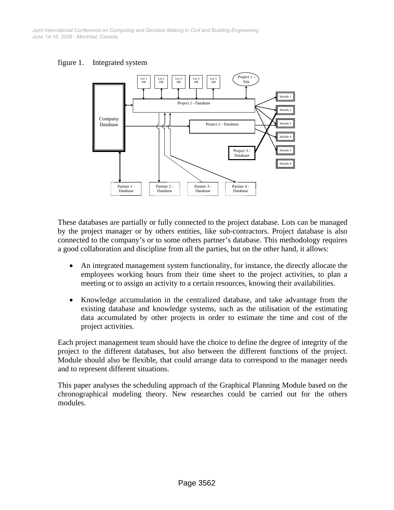*June 14-16, 2006 - Montréal, Canada Joint International Conference on Computing and Decision Making in Civil and Building Engineering*





These databases are partially or fully connected to the project database. Lots can be managed by the project manager or by others entities, like sub-contractors. Project database is also connected to the company's or to some others partner's database. This methodology requires a good collaboration and discipline from all the parties, but on the other hand, it allows:

- An integrated management system functionality, for instance, the directly allocate the employees working hours from their time sheet to the project activities, to plan a meeting or to assign an activity to a certain resources, knowing their availabilities.
- Knowledge accumulation in the centralized database, and take advantage from the existing database and knowledge systems, such as the utilisation of the estimating data accumulated by other projects in order to estimate the time and cost of the project activities.

Each project management team should have the choice to define the degree of integrity of the project to the different databases, but also between the different functions of the project. Module should also be flexible, that could arrange data to correspond to the manager needs and to represent different situations.

This paper analyses the scheduling approach of the Graphical Planning Module based on the chronographical modeling theory. New researches could be carried out for the others modules.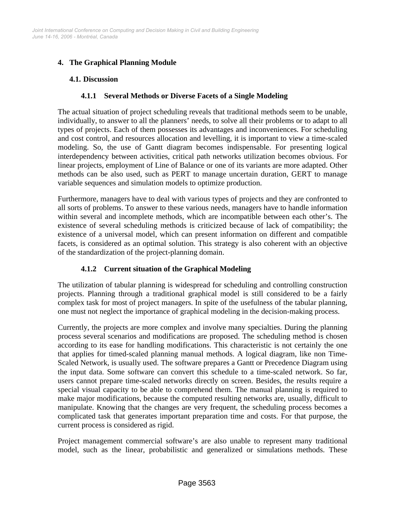# **4. The Graphical Planning Module**

## **4.1. Discussion**

## **4.1.1 Several Methods or Diverse Facets of a Single Modeling**

The actual situation of project scheduling reveals that traditional methods seem to be unable, individually, to answer to all the planners' needs, to solve all their problems or to adapt to all types of projects. Each of them possesses its advantages and inconveniences. For scheduling and cost control, and resources allocation and levelling, it is important to view a time-scaled modeling. So, the use of Gantt diagram becomes indispensable. For presenting logical interdependency between activities, critical path networks utilization becomes obvious. For linear projects, employment of Line of Balance or one of its variants are more adapted. Other methods can be also used, such as PERT to manage uncertain duration, GERT to manage variable sequences and simulation models to optimize production.

Furthermore, managers have to deal with various types of projects and they are confronted to all sorts of problems. To answer to these various needs, managers have to handle information within several and incomplete methods, which are incompatible between each other's. The existence of several scheduling methods is criticized because of lack of compatibility; the existence of a universal model, which can present information on different and compatible facets, is considered as an optimal solution. This strategy is also coherent with an objective of the standardization of the project-planning domain.

# **4.1.2 Current situation of the Graphical Modeling**

The utilization of tabular planning is widespread for scheduling and controlling construction projects. Planning through a traditional graphical model is still considered to be a fairly complex task for most of project managers. In spite of the usefulness of the tabular planning, one must not neglect the importance of graphical modeling in the decision-making process.

Currently, the projects are more complex and involve many specialties. During the planning process several scenarios and modifications are proposed. The scheduling method is chosen according to its ease for handling modifications. This characteristic is not certainly the one that applies for timed-scaled planning manual methods. A logical diagram, like non Time-Scaled Network, is usually used. The software prepares a Gantt or Precedence Diagram using the input data. Some software can convert this schedule to a time-scaled network. So far, users cannot prepare time-scaled networks directly on screen. Besides, the results require a special visual capacity to be able to comprehend them. The manual planning is required to make major modifications, because the computed resulting networks are, usually, difficult to manipulate. Knowing that the changes are very frequent, the scheduling process becomes a complicated task that generates important preparation time and costs. For that purpose, the current process is considered as rigid.

Project management commercial software's are also unable to represent many traditional model, such as the linear, probabilistic and generalized or simulations methods. These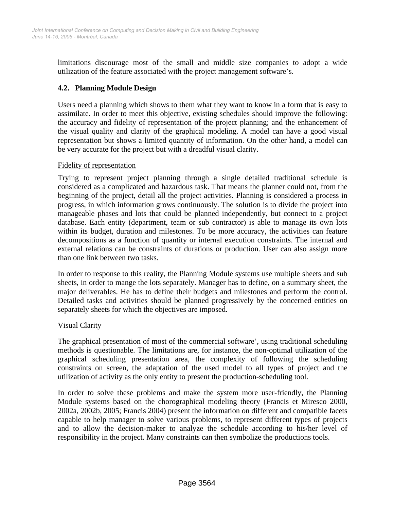limitations discourage most of the small and middle size companies to adopt a wide utilization of the feature associated with the project management software's.

## **4.2. Planning Module Design**

Users need a planning which shows to them what they want to know in a form that is easy to assimilate. In order to meet this objective, existing schedules should improve the following: the accuracy and fidelity of representation of the project planning; and the enhancement of the visual quality and clarity of the graphical modeling. A model can have a good visual representation but shows a limited quantity of information. On the other hand, a model can be very accurate for the project but with a dreadful visual clarity.

## Fidelity of representation

Trying to represent project planning through a single detailed traditional schedule is considered as a complicated and hazardous task. That means the planner could not, from the beginning of the project, detail all the project activities. Planning is considered a process in progress, in which information grows continuously. The solution is to divide the project into manageable phases and lots that could be planned independently, but connect to a project database. Each entity (department, team or sub contractor) is able to manage its own lots within its budget, duration and milestones. To be more accuracy, the activities can feature decompositions as a function of quantity or internal execution constraints. The internal and external relations can be constraints of durations or production. User can also assign more than one link between two tasks.

In order to response to this reality, the Planning Module systems use multiple sheets and sub sheets, in order to mange the lots separately. Manager has to define, on a summary sheet, the major deliverables. He has to define their budgets and milestones and perform the control. Detailed tasks and activities should be planned progressively by the concerned entities on separately sheets for which the objectives are imposed.

#### Visual Clarity

The graphical presentation of most of the commercial software', using traditional scheduling methods is questionable. The limitations are, for instance, the non-optimal utilization of the graphical scheduling presentation area, the complexity of following the scheduling constraints on screen, the adaptation of the used model to all types of project and the utilization of activity as the only entity to present the production-scheduling tool.

In order to solve these problems and make the system more user-friendly, the Planning Module systems based on the chorographical modeling theory (Francis et Miresco 2000, 2002a, 2002b, 2005; Francis 2004) present the information on different and compatible facets capable to help manager to solve various problems, to represent different types of projects and to allow the decision-maker to analyze the schedule according to his/her level of responsibility in the project. Many constraints can then symbolize the productions tools.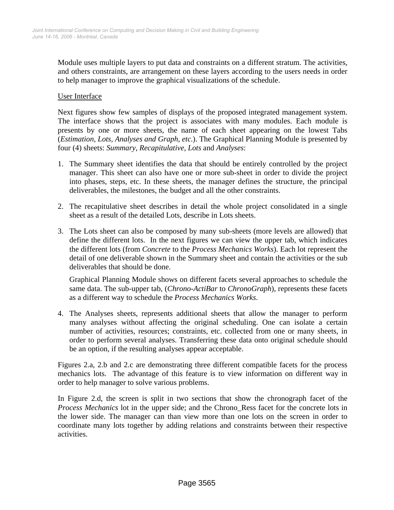Module uses multiple layers to put data and constraints on a different stratum. The activities, and others constraints, are arrangement on these layers according to the users needs in order to help manager to improve the graphical visualizations of the schedule.

#### User Interface

Next figures show few samples of displays of the proposed integrated management system. The interface shows that the project is associates with many modules. Each module is presents by one or more sheets, the name of each sheet appearing on the lowest Tabs (*Estimation, Lots, Analyses and Graph, etc.*). The Graphical Planning Module is presented by four (4) sheets: *Summary*, *Recapitulative, Lots* and *Analyses*:

- 1. The Summary sheet identifies the data that should be entirely controlled by the project manager. This sheet can also have one or more sub-sheet in order to divide the project into phases, steps, etc. In these sheets, the manager defines the structure, the principal deliverables, the milestones, the budget and all the other constraints.
- 2. The recapitulative sheet describes in detail the whole project consolidated in a single sheet as a result of the detailed Lots, describe in Lots sheets.
- 3. The Lots sheet can also be composed by many sub-sheets (more levels are allowed) that define the different lots. In the next figures we can view the upper tab, which indicates the different lots (from *Concrete* to the *Process Mechanics Works*). Each lot represent the detail of one deliverable shown in the Summary sheet and contain the activities or the sub deliverables that should be done.

Graphical Planning Module shows on different facets several approaches to schedule the same data. The sub-upper tab, (*Chrono-ActiBar* to *ChronoGraph*), represents these facets as a different way to schedule the *Process Mechanics Works*.

4. The Analyses sheets, represents additional sheets that allow the manager to perform many analyses without affecting the original scheduling. One can isolate a certain number of activities, resources; constraints, etc. collected from one or many sheets, in order to perform several analyses. Transferring these data onto original schedule should be an option, if the resulting analyses appear acceptable.

Figures 2.a, 2.b and 2.c are demonstrating three different compatible facets for the process mechanics lots. The advantage of this feature is to view information on different way in order to help manager to solve various problems.

In Figure 2.d, the screen is split in two sections that show the chronograph facet of the *Process Mechanics* lot in the upper side; and the Chrono\_Ress facet for the concrete lots in the lower side. The manager can than view more than one lots on the screen in order to coordinate many lots together by adding relations and constraints between their respective activities.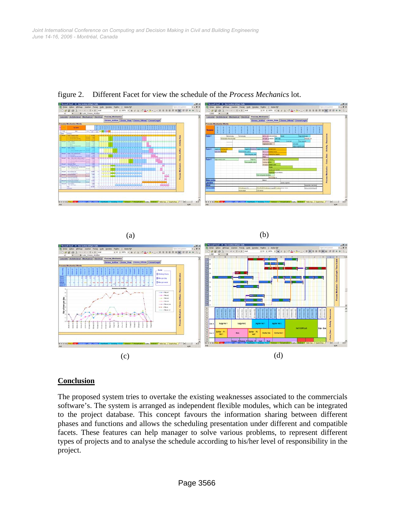(a)



figure 2. Different Facet for view the schedule of the *Process Mechanics* lot.

(b)



## **Conclusion**

The proposed system tries to overtake the existing weaknesses associated to the commercials software's. The system is arranged as independent flexible modules, which can be integrated to the project database. This concept favours the information sharing between different phases and functions and allows the scheduling presentation under different and compatible facets. These features can help manager to solve various problems, to represent different types of projects and to analyse the schedule according to his/her level of responsibility in the project.